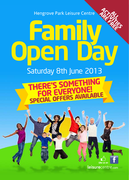Hengrove Park Leisure Centre

# **Family Open Day** ACTIVI **ARE FREE**

## Saturday 8th June 2013

### **RE'S SOMET**<br>DR EVERYO **FOR EVERYONE! SPECIAL OFFERS AVAILABLE**



**ALL**